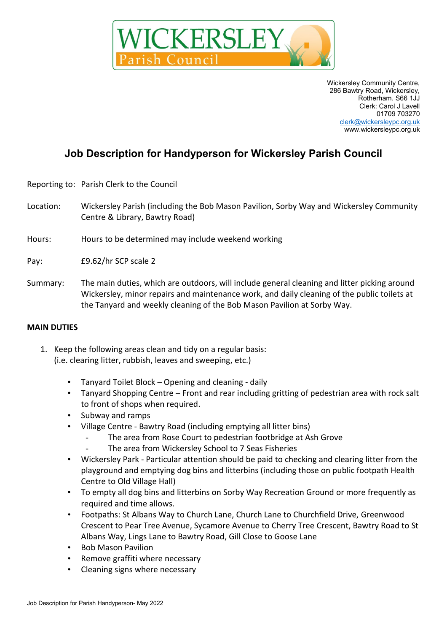

Wickersley Community Centre, 286 Bawtry Road, Wickersley, Rotherham. S66 1JJ Clerk: Carol J Lavell 01709 703270 [clerk@wickersleypc.org.uk](mailto:clerk@wickersleypc.org.uk) www.wickersleypc.org.uk

## **Job Description for Handyperson for Wickersley Parish Council**

Reporting to: Parish Clerk to the Council

- Location: Wickersley Parish (including the Bob Mason Pavilion, Sorby Way and Wickersley Community Centre & Library, Bawtry Road)
- Hours: Hours to be determined may include weekend working
- Pay: £9.62/hr SCP scale 2
- Summary: The main duties, which are outdoors, will include general cleaning and litter picking around Wickersley, minor repairs and maintenance work, and daily cleaning of the public toilets at the Tanyard and weekly cleaning of the Bob Mason Pavilion at Sorby Way.

## **MAIN DUTIES**

- 1. Keep the following areas clean and tidy on a regular basis: (i.e. clearing litter, rubbish, leaves and sweeping, etc.)
	- Tanyard Toilet Block Opening and cleaning daily
	- Tanyard Shopping Centre Front and rear including gritting of pedestrian area with rock salt to front of shops when required.
	- Subway and ramps
	- Village Centre Bawtry Road (including emptying all litter bins)
		- The area from Rose Court to pedestrian footbridge at Ash Grove
		- The area from Wickersley School to 7 Seas Fisheries
	- Wickersley Park Particular attention should be paid to checking and clearing litter from the playground and emptying dog bins and litterbins (including those on public footpath Health Centre to Old Village Hall)
	- To empty all dog bins and litterbins on Sorby Way Recreation Ground or more frequently as required and time allows.
	- Footpaths: St Albans Way to Church Lane, Church Lane to Churchfield Drive, Greenwood Crescent to Pear Tree Avenue, Sycamore Avenue to Cherry Tree Crescent, Bawtry Road to St Albans Way, Lings Lane to Bawtry Road, Gill Close to Goose Lane
	- Bob Mason Pavilion
	- Remove graffiti where necessary
	- Cleaning signs where necessary